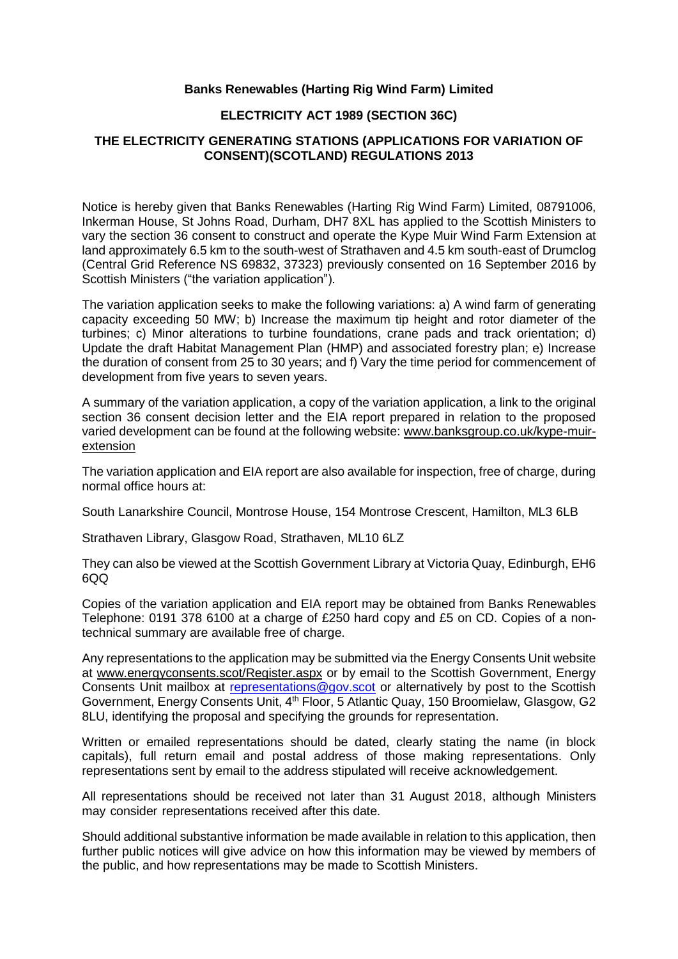## **Banks Renewables (Harting Rig Wind Farm) Limited**

## **ELECTRICITY ACT 1989 (SECTION 36C)**

## **THE ELECTRICITY GENERATING STATIONS (APPLICATIONS FOR VARIATION OF CONSENT)(SCOTLAND) REGULATIONS 2013**

Notice is hereby given that Banks Renewables (Harting Rig Wind Farm) Limited, 08791006, Inkerman House, St Johns Road, Durham, DH7 8XL has applied to the Scottish Ministers to vary the section 36 consent to construct and operate the Kype Muir Wind Farm Extension at land approximately 6.5 km to the south-west of Strathaven and 4.5 km south-east of Drumclog (Central Grid Reference NS 69832, 37323) previously consented on 16 September 2016 by Scottish Ministers ("the variation application").

The variation application seeks to make the following variations: a) A wind farm of generating capacity exceeding 50 MW; b) Increase the maximum tip height and rotor diameter of the turbines; c) Minor alterations to turbine foundations, crane pads and track orientation; d) Update the draft Habitat Management Plan (HMP) and associated forestry plan; e) Increase the duration of consent from 25 to 30 years; and f) Vary the time period for commencement of development from five years to seven years.

A summary of the variation application, a copy of the variation application, a link to the original section 36 consent decision letter and the EIA report prepared in relation to the proposed varied development can be found at the following website: [www.banksgroup.co.uk/kype-muir](http://www.banksgroup.co.uk/kype-muir-extension)[extension](http://www.banksgroup.co.uk/kype-muir-extension)

The variation application and EIA report are also available for inspection, free of charge, during normal office hours at:

South Lanarkshire Council, Montrose House, 154 Montrose Crescent, Hamilton, ML3 6LB

Strathaven Library, Glasgow Road, Strathaven, ML10 6LZ

They can also be viewed at the Scottish Government Library at Victoria Quay, Edinburgh, EH6 6QQ

Copies of the variation application and EIA report may be obtained from Banks Renewables Telephone: 0191 378 6100 at a charge of £250 hard copy and £5 on CD. Copies of a nontechnical summary are available free of charge.

Any representations to the application may be submitted via the Energy Consents Unit website at www.energyconsents.scot/Register.aspx or by email to the Scottish Government, Energy Consents Unit mailbox at [representations@gov.scot](mailto:representations@gov.scot) or alternatively by post to the Scottish Government, Energy Consents Unit, 4<sup>th</sup> Floor, 5 Atlantic Quay, 150 Broomielaw, Glasgow, G2 8LU, identifying the proposal and specifying the grounds for representation.

Written or emailed representations should be dated, clearly stating the name (in block capitals), full return email and postal address of those making representations. Only representations sent by email to the address stipulated will receive acknowledgement.

All representations should be received not later than 31 August 2018, although Ministers may consider representations received after this date.

Should additional substantive information be made available in relation to this application, then further public notices will give advice on how this information may be viewed by members of the public, and how representations may be made to Scottish Ministers.